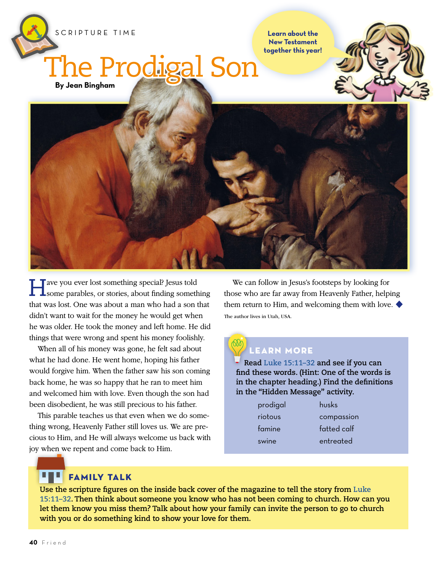

**Learn about the New Testament together this year!**

## **By Jean Bingham** The Prodigal Son





Have you ever lost something special? Jesus told some parables, or stories, about finding something that was lost. One was about a man who had a son that didn't want to wait for the money he would get when he was older. He took the money and left home. He did things that were wrong and spent his money foolishly.

When all of his money was gone, he felt sad about what he had done. He went home, hoping his father would forgive him. When the father saw his son coming back home, he was so happy that he ran to meet him and welcomed him with love. Even though the son had been disobedient, he was still precious to his father.

This parable teaches us that even when we do something wrong, Heavenly Father still loves us. We are precious to Him, and He will always welcome us back with joy when we repent and come back to Him.

We can follow in Jesus's footsteps by looking for those who are far away from Heavenly Father, helping them return to Him, and welcoming them with love.  $\blacklozenge$ The author lives in Utah, USA.

## LEARN MORE

**Read [Luke 15:11–32](https://www.lds.org/scriptures/nt/luke/15.11-32?lang=eng#10) and see if you can find these words. (Hint: One of the words is in the chapter heading.) Find the definitions in the "Hidden Message" activity.**

| prodigal | husks       |
|----------|-------------|
| riotous  | compassion  |
| famine   | fatted calf |
| swine    | entreated   |

## FAMILY TALK

**Use the scripture figures on the inside back cover of the magazine to tell the story from [Luke](https://www.lds.org/scriptures/nt/luke/15.11-32?lang=eng#10)  [15:11–32](https://www.lds.org/scriptures/nt/luke/15.11-32?lang=eng#10). Then think about someone you know who has not been coming to church. How can you let them know you miss them? Talk about how your family can invite the person to go to church with you or do something kind to show your love for them.**